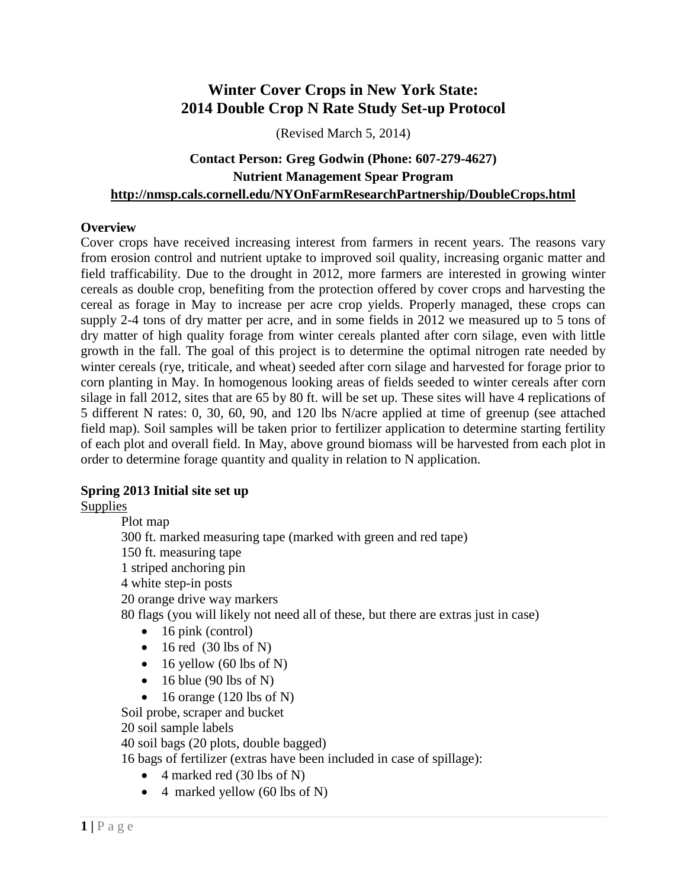# **Winter Cover Crops in New York State: 2014 Double Crop N Rate Study Set-up Protocol**

(Revised March 5, 2014)

### **Contact Person: Greg Godwin (Phone: 607-279-4627) Nutrient Management Spear Program http://nmsp.cals.cornell.edu/NYOnFarmResearchPartnership/DoubleCrops.html**

#### **Overview**

Cover crops have received increasing interest from farmers in recent years. The reasons vary from erosion control and nutrient uptake to improved soil quality, increasing organic matter and field trafficability. Due to the drought in 2012, more farmers are interested in growing winter cereals as double crop, benefiting from the protection offered by cover crops and harvesting the cereal as forage in May to increase per acre crop yields. Properly managed, these crops can supply 2-4 tons of dry matter per acre, and in some fields in 2012 we measured up to 5 tons of dry matter of high quality forage from winter cereals planted after corn silage, even with little growth in the fall. The goal of this project is to determine the optimal nitrogen rate needed by winter cereals (rye, triticale, and wheat) seeded after corn silage and harvested for forage prior to corn planting in May. In homogenous looking areas of fields seeded to winter cereals after corn silage in fall 2012, sites that are 65 by 80 ft. will be set up. These sites will have 4 replications of 5 different N rates: 0, 30, 60, 90, and 120 lbs N/acre applied at time of greenup (see attached field map). Soil samples will be taken prior to fertilizer application to determine starting fertility of each plot and overall field. In May, above ground biomass will be harvested from each plot in order to determine forage quantity and quality in relation to N application.

#### **Spring 2013 Initial site set up**

Supplies

Plot map 300 ft. marked measuring tape (marked with green and red tape) 150 ft. measuring tape 1 striped anchoring pin 4 white step-in posts 20 orange drive way markers 80 flags (you will likely not need all of these, but there are extras just in case)

- $\bullet$  16 pink (control)
- $\bullet$  16 red (30 lbs of N)
- $\bullet$  16 yellow (60 lbs of N)
- $\bullet$  16 blue (90 lbs of N)
- $\bullet$  16 orange (120 lbs of N)

Soil probe, scraper and bucket

20 soil sample labels

40 soil bags (20 plots, double bagged)

16 bags of fertilizer (extras have been included in case of spillage):

- $\bullet$  4 marked red (30 lbs of N)
- $\bullet$  4 marked yellow (60 lbs of N)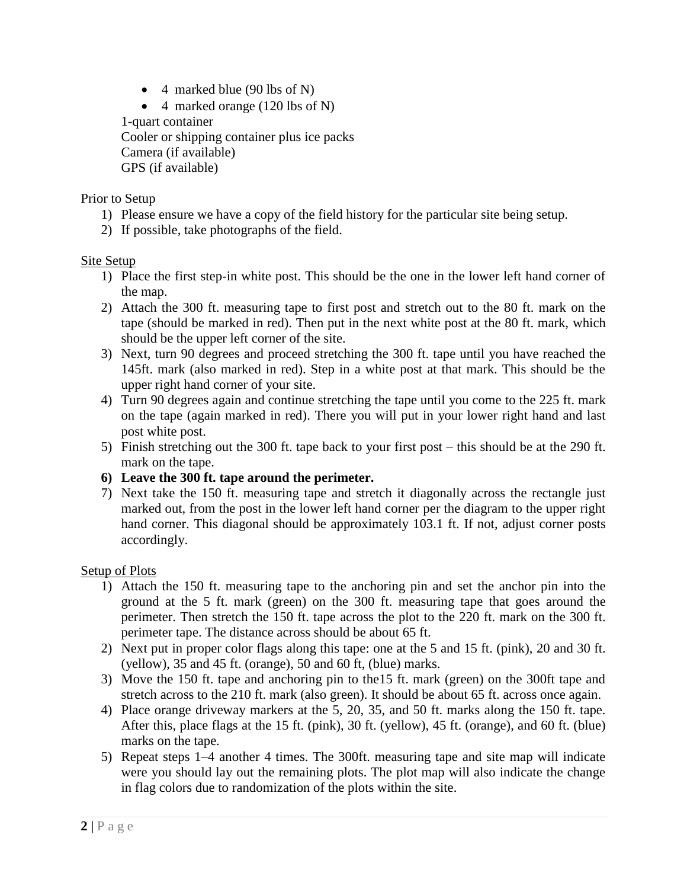- $\bullet$  4 marked blue (90 lbs of N)
- $\bullet$  4 marked orange (120 lbs of N)

1-quart container Cooler or shipping container plus ice packs Camera (if available) GPS (if available)

### Prior to Setup

- 1) Please ensure we have a copy of the field history for the particular site being setup.
- 2) If possible, take photographs of the field.

#### Site Setup

- 1) Place the first step-in white post. This should be the one in the lower left hand corner of the map.
- 2) Attach the 300 ft. measuring tape to first post and stretch out to the 80 ft. mark on the tape (should be marked in red). Then put in the next white post at the 80 ft. mark, which should be the upper left corner of the site.
- 3) Next, turn 90 degrees and proceed stretching the 300 ft. tape until you have reached the 145ft. mark (also marked in red). Step in a white post at that mark. This should be the upper right hand corner of your site.
- 4) Turn 90 degrees again and continue stretching the tape until you come to the 225 ft. mark on the tape (again marked in red). There you will put in your lower right hand and last post white post.
- 5) Finish stretching out the 300 ft. tape back to your first post this should be at the 290 ft. mark on the tape.
- **6) Leave the 300 ft. tape around the perimeter.**
- 7) Next take the 150 ft. measuring tape and stretch it diagonally across the rectangle just marked out, from the post in the lower left hand corner per the diagram to the upper right hand corner. This diagonal should be approximately 103.1 ft. If not, adjust corner posts accordingly.

#### Setup of Plots

- 1) Attach the 150 ft. measuring tape to the anchoring pin and set the anchor pin into the ground at the 5 ft. mark (green) on the 300 ft. measuring tape that goes around the perimeter. Then stretch the 150 ft. tape across the plot to the 220 ft. mark on the 300 ft. perimeter tape. The distance across should be about 65 ft.
- 2) Next put in proper color flags along this tape: one at the 5 and 15 ft. (pink), 20 and 30 ft. (yellow), 35 and 45 ft. (orange), 50 and 60 ft, (blue) marks.
- 3) Move the 150 ft. tape and anchoring pin to the15 ft. mark (green) on the 300ft tape and stretch across to the 210 ft. mark (also green). It should be about 65 ft. across once again.
- 4) Place orange driveway markers at the 5, 20, 35, and 50 ft. marks along the 150 ft. tape. After this, place flags at the 15 ft. (pink), 30 ft. (yellow), 45 ft. (orange), and 60 ft. (blue) marks on the tape.
- 5) Repeat steps 1–4 another 4 times. The 300ft. measuring tape and site map will indicate were you should lay out the remaining plots. The plot map will also indicate the change in flag colors due to randomization of the plots within the site.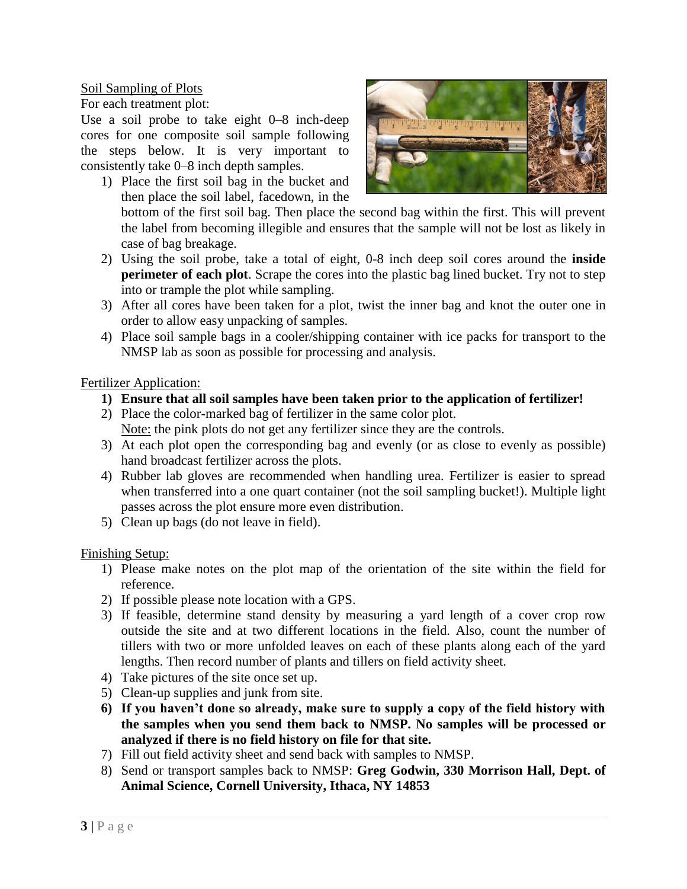Soil Sampling of Plots

For each treatment plot:

Use a soil probe to take eight 0–8 inch-deep cores for one composite soil sample following the steps below. It is very important to consistently take 0–8 inch depth samples.

1) Place the first soil bag in the bucket and then place the soil label, facedown, in the



bottom of the first soil bag. Then place the second bag within the first. This will prevent the label from becoming illegible and ensures that the sample will not be lost as likely in case of bag breakage.

- 2) Using the soil probe, take a total of eight, 0-8 inch deep soil cores around the **inside perimeter of each plot**. Scrape the cores into the plastic bag lined bucket. Try not to step into or trample the plot while sampling.
- 3) After all cores have been taken for a plot, twist the inner bag and knot the outer one in order to allow easy unpacking of samples.
- 4) Place soil sample bags in a cooler/shipping container with ice packs for transport to the NMSP lab as soon as possible for processing and analysis.

#### Fertilizer Application:

- **1) Ensure that all soil samples have been taken prior to the application of fertilizer!**
- 2) Place the color-marked bag of fertilizer in the same color plot. Note: the pink plots do not get any fertilizer since they are the controls.
- 3) At each plot open the corresponding bag and evenly (or as close to evenly as possible) hand broadcast fertilizer across the plots.
- 4) Rubber lab gloves are recommended when handling urea. Fertilizer is easier to spread when transferred into a one quart container (not the soil sampling bucket!). Multiple light passes across the plot ensure more even distribution.
- 5) Clean up bags (do not leave in field).

#### Finishing Setup:

- 1) Please make notes on the plot map of the orientation of the site within the field for reference.
- 2) If possible please note location with a GPS.
- 3) If feasible, determine stand density by measuring a yard length of a cover crop row outside the site and at two different locations in the field. Also, count the number of tillers with two or more unfolded leaves on each of these plants along each of the yard lengths. Then record number of plants and tillers on field activity sheet.
- 4) Take pictures of the site once set up.
- 5) Clean-up supplies and junk from site.
- **6) If you haven't done so already, make sure to supply a copy of the field history with the samples when you send them back to NMSP. No samples will be processed or analyzed if there is no field history on file for that site.**
- 7) Fill out field activity sheet and send back with samples to NMSP.
- 8) Send or transport samples back to NMSP: **Greg Godwin, 330 Morrison Hall, Dept. of Animal Science, Cornell University, Ithaca, NY 14853**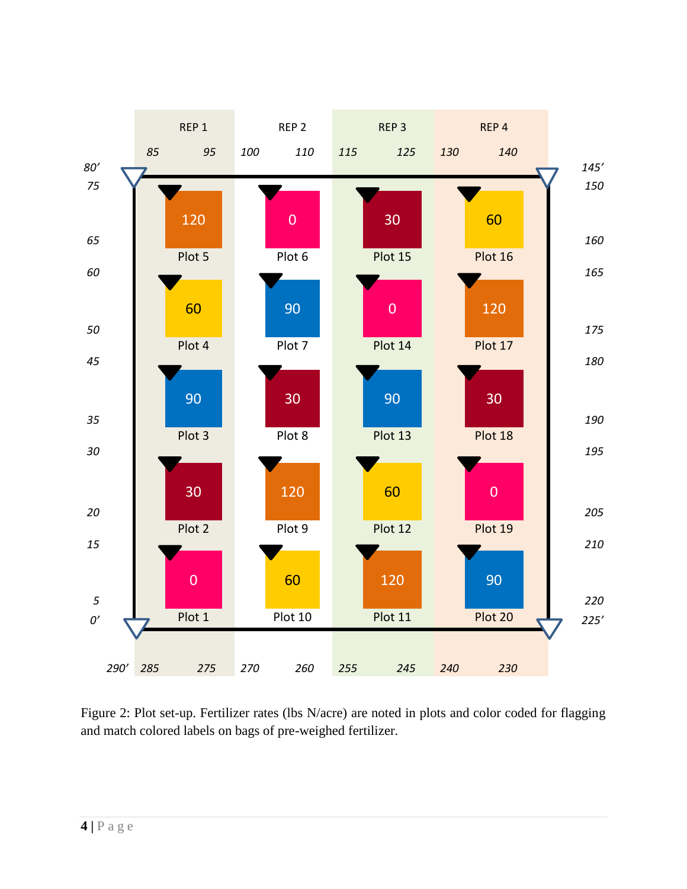

Figure 2: Plot set-up. Fertilizer rates (lbs N/acre) are noted in plots and color coded for flagging and match colored labels on bags of pre-weighed fertilizer.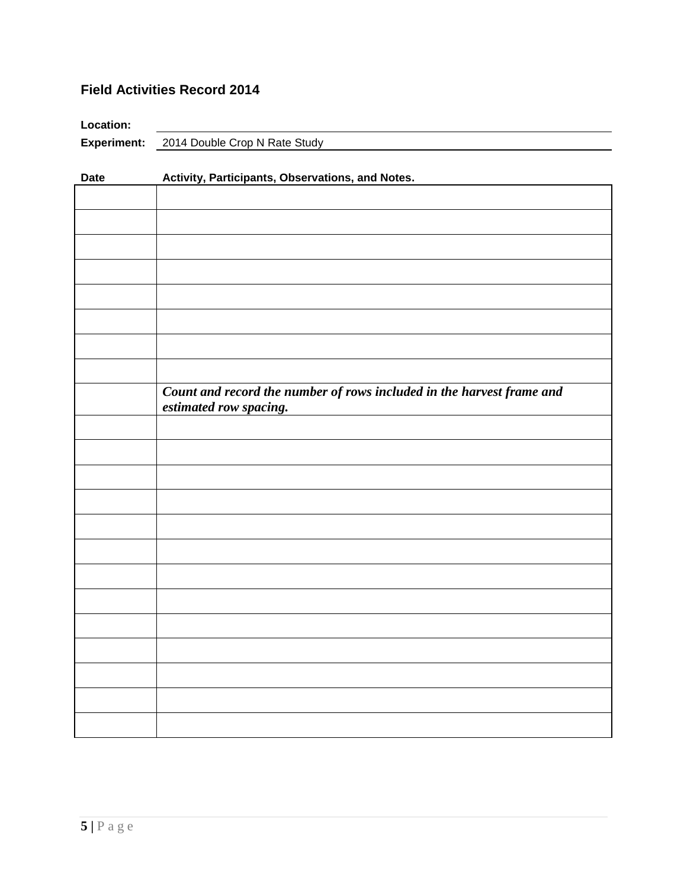## **Field Activities Record 2014**

| <b>Location:</b> |                                                  |
|------------------|--------------------------------------------------|
|                  | <b>Experiment:</b> 2014 Double Crop N Rate Study |

| <b>Date</b> | Activity, Participants, Observations, and Notes.                                                |  |  |  |  |
|-------------|-------------------------------------------------------------------------------------------------|--|--|--|--|
|             |                                                                                                 |  |  |  |  |
|             |                                                                                                 |  |  |  |  |
|             |                                                                                                 |  |  |  |  |
|             |                                                                                                 |  |  |  |  |
|             |                                                                                                 |  |  |  |  |
|             |                                                                                                 |  |  |  |  |
|             |                                                                                                 |  |  |  |  |
|             |                                                                                                 |  |  |  |  |
|             | Count and record the number of rows included in the harvest frame and<br>estimated row spacing. |  |  |  |  |
|             |                                                                                                 |  |  |  |  |
|             |                                                                                                 |  |  |  |  |
|             |                                                                                                 |  |  |  |  |
|             |                                                                                                 |  |  |  |  |
|             |                                                                                                 |  |  |  |  |
|             |                                                                                                 |  |  |  |  |
|             |                                                                                                 |  |  |  |  |
|             |                                                                                                 |  |  |  |  |
|             |                                                                                                 |  |  |  |  |
|             |                                                                                                 |  |  |  |  |
|             |                                                                                                 |  |  |  |  |
|             |                                                                                                 |  |  |  |  |
|             |                                                                                                 |  |  |  |  |